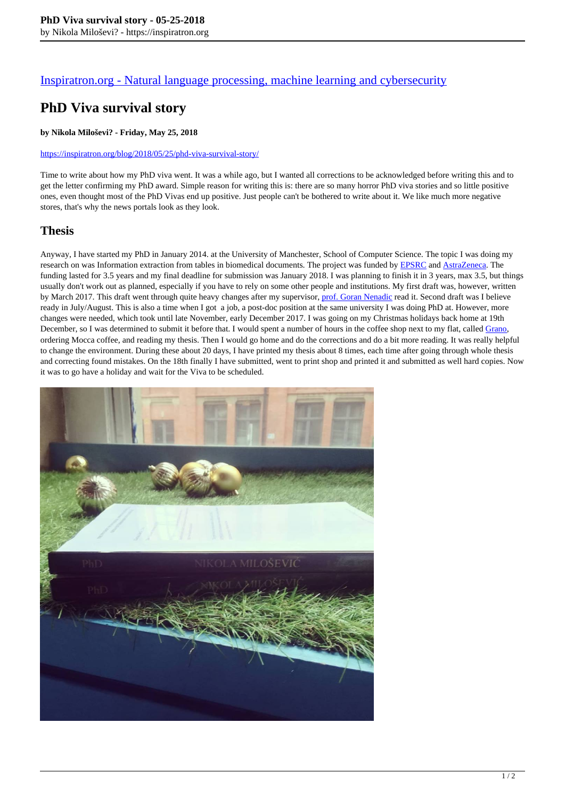### [Inspiratron.org - Natural language processing, machine learning and cybersecurity](https://inspiratron.org)

# **PhD Viva survival story**

#### **by Nikola Miloševi? - Friday, May 25, 2018**

#### https://inspiratron.org/blog/2018/05/25/phd-viva-survival-story/

Time to write about how my PhD viva went. It was a while ago, but I wanted all corrections to be acknowledged before writing this and to get the letter confirming my PhD award. Simple reason for writing this is: there are so many horror PhD viva stories and so little positive ones, even thought most of the PhD Vivas end up positive. Just people can't be bothered to write about it. We like much more negative stores, that's why the news portals look as they look.

### **Thesis**

Anyway, I have started my PhD in January 2014. at the University of Manchester, School of Computer Science. The topic I was doing my research on was Information extraction from tables in biomedical documents. The project was funded by **EPSRC** and **AstraZeneca**. The funding lasted for 3.5 years and my final deadline for submission was January 2018. I was planning to finish it in 3 years, max 3.5, but things usually don't work out as planned, especially if you have to rely on some other people and institutions. My first draft was, however, written by March 2017. This draft went through quite heavy changes after my supervisor, prof. Goran Nenadic read it. Second draft was I believe ready in July/August. This is also a time when I got a job, a post-doc position at the same university I was doing PhD at. However, more changes were needed, which took until late November, early December 2017. I was going on my Christmas holidays back home at 19th December, so I was determined to submit it before that. I would spent a number of hours in the coffee shop next to my flat, called Grano, ordering Mocca coffee, and reading my thesis. Then I would go home and do the corrections and do a bit more reading. It was really helpful to change the environment. During these about 20 days, I have printed my thesis about 8 times, each time after going through whole thesis and correcting found mistakes. On the 18th finally I have submitted, went to print shop and printed it and submitted as well hard copies. Now it was to go have a holiday and wait for the Viva to be scheduled.